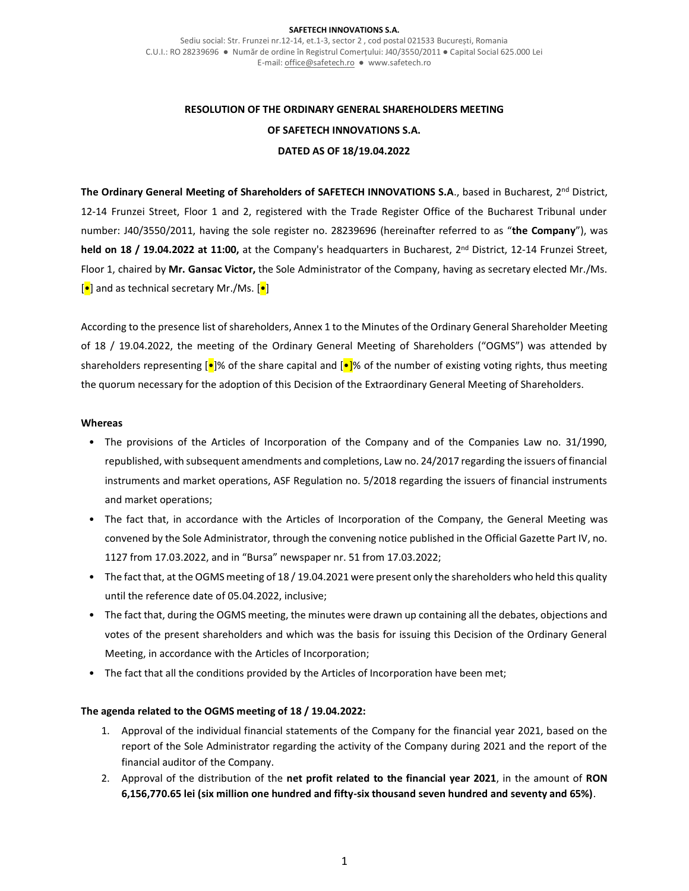#### **SAFETECH INNOVATIONS S.A.**

Sediu social: Str. Frunzei nr.12-14, et.1-3, sector 2 , cod postal 021533 București, Romania C.U.I.: RO 28239696 ● Număr de ordine în Registrul Comerțului: J40/3550/2011 ● Capital Social 625.000 Lei E-mail[: office@safetech.ro](mailto:office@safetech.ro) ● www.safetech.ro

# **RESOLUTION OF THE ORDINARY GENERAL SHAREHOLDERS MEETING OF SAFETECH INNOVATIONS S.A. DATED AS OF 18/19.04.2022**

**The Ordinary General Meeting of Shareholders of SAFETECH INNOVATIONS S.A**., based in Bucharest, 2nd District, 12-14 Frunzei Street, Floor 1 and 2, registered with the Trade Register Office of the Bucharest Tribunal under number: J40/3550/2011, having the sole register no. 28239696 (hereinafter referred to as "**the Company**"), was **held on 18 / 19.04.2022 at 11:00,** at the Company's headquarters in Bucharest, 2nd District, 12-14 Frunzei Street, Floor 1, chaired by **Mr. Gansac Victor,** the Sole Administrator of the Company, having as secretary elected Mr./Ms.  $\left[\bullet\right]$  and as technical secretary Mr./Ms.  $\left[\bullet\right]$ 

According to the presence list of shareholders, Annex 1 to the Minutes of the Ordinary General Shareholder Meeting of 18 / 19.04.2022, the meeting of the Ordinary General Meeting of Shareholders ("OGMS") was attended by shareholders representing  $\left[\bullet\right]$ % of the share capital and  $\left[\bullet\right]$ % of the number of existing voting rights, thus meeting the quorum necessary for the adoption of this Decision of the Extraordinary General Meeting of Shareholders.

#### **Whereas**

- The provisions of the Articles of Incorporation of the Company and of the Companies Law no. 31/1990, republished, with subsequent amendments and completions, Law no. 24/2017 regarding the issuers of financial instruments and market operations, ASF Regulation no. 5/2018 regarding the issuers of financial instruments and market operations;
- The fact that, in accordance with the Articles of Incorporation of the Company, the General Meeting was convened by the Sole Administrator, through the convening notice published in the Official Gazette Part IV, no. 1127 from 17.03.2022, and in "Bursa" newspaper nr. 51 from 17.03.2022;
- The fact that, at the OGMS meeting of 18 / 19.04.2021 were present only the shareholders who held this quality until the reference date of 05.04.2022, inclusive;
- The fact that, during the OGMS meeting, the minutes were drawn up containing all the debates, objections and votes of the present shareholders and which was the basis for issuing this Decision of the Ordinary General Meeting, in accordance with the Articles of Incorporation;
- The fact that all the conditions provided by the Articles of Incorporation have been met;

#### **The agenda related to the OGMS meeting of 18 / 19.04.2022:**

- 1. Approval of the individual financial statements of the Company for the financial year 2021, based on the report of the Sole Administrator regarding the activity of the Company during 2021 and the report of the financial auditor of the Company.
- 2. Approval of the distribution of the **net profit related to the financial year 2021**, in the amount of **RON 6,156,770.65 lei (six million one hundred and fifty-six thousand seven hundred and seventy and 65%)**.

1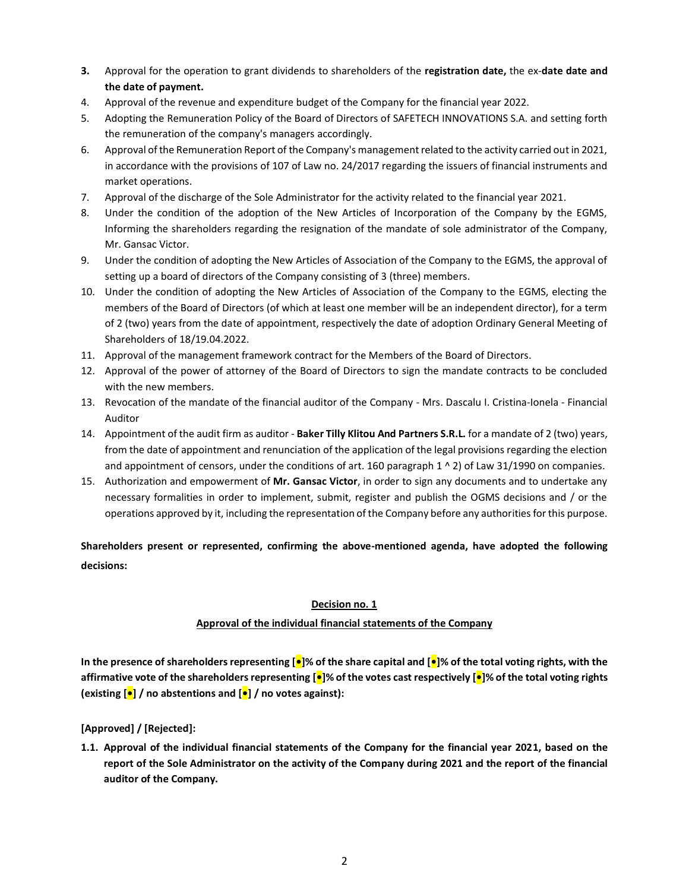- **3.** Approval for the operation to grant dividends to shareholders of the **registration date,** the ex-**date date and the date of payment.**
- 4. Approval of the revenue and expenditure budget of the Company for the financial year 2022.
- 5. Adopting the Remuneration Policy of the Board of Directors of SAFETECH INNOVATIONS S.A. and setting forth the remuneration of the company's managers accordingly.
- 6. Approval of the Remuneration Report of the Company's management related to the activity carried out in 2021, in accordance with the provisions of 107 of Law no. 24/2017 regarding the issuers of financial instruments and market operations.
- 7. Approval of the discharge of the Sole Administrator for the activity related to the financial year 2021.
- 8. Under the condition of the adoption of the New Articles of Incorporation of the Company by the EGMS, Informing the shareholders regarding the resignation of the mandate of sole administrator of the Company, Mr. Gansac Victor.
- 9. Under the condition of adopting the New Articles of Association of the Company to the EGMS, the approval of setting up a board of directors of the Company consisting of 3 (three) members.
- 10. Under the condition of adopting the New Articles of Association of the Company to the EGMS, electing the members of the Board of Directors (of which at least one member will be an independent director), for a term of 2 (two) years from the date of appointment, respectively the date of adoption Ordinary General Meeting of Shareholders of 18/19.04.2022.
- 11. Approval of the management framework contract for the Members of the Board of Directors.
- 12. Approval of the power of attorney of the Board of Directors to sign the mandate contracts to be concluded with the new members.
- 13. Revocation of the mandate of the financial auditor of the Company Mrs. Dascalu I. Cristina-Ionela Financial Auditor
- 14. Appointment of the audit firm as auditor **Baker Tilly Klitou And Partners S.R.L.** for a mandate of 2 (two) years, from the date of appointment and renunciation of the application of the legal provisions regarding the election and appointment of censors, under the conditions of art. 160 paragraph  $1 \wedge 2$ ) of Law 31/1990 on companies.
- 15. Authorization and empowerment of **Mr. Gansac Victor**, in order to sign any documents and to undertake any necessary formalities in order to implement, submit, register and publish the OGMS decisions and / or the operations approved by it, including the representation of the Company before any authorities for this purpose.

## **Shareholders present or represented, confirming the above-mentioned agenda, have adopted the following decisions:**

### **Decision no. 1**

#### **Approval of the individual financial statements of the Company**

**In the presence of shareholders representing [•]% of the share capital and [•]% of the total voting rights, with the affirmative vote of the shareholders representing [•]% of the votes cast respectively [•]% of the total voting rights (existing [•] / no abstentions and [•] / no votes against):**

### **[Approved] / [Rejected]:**

**1.1. Approval of the individual financial statements of the Company for the financial year 2021, based on the report of the Sole Administrator on the activity of the Company during 2021 and the report of the financial auditor of the Company.**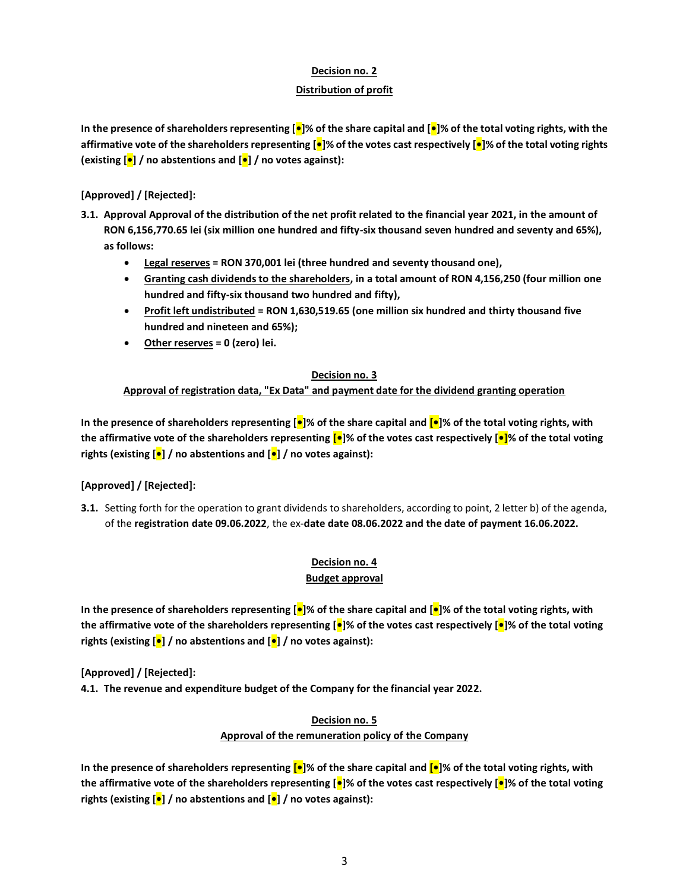#### **Decision no. 2**

#### **Distribution of profit**

**In the presence of shareholders representing [•]% of the share capital and [•]% of the total voting rights, with the affirmative vote of the shareholders representing [•]% of the votes cast respectively [•]% of the total voting rights (existing [•] / no abstentions and [•] / no votes against):**

### **[Approved] / [Rejected]:**

- **3.1. Approval Approval of the distribution of the net profit related to the financial year 2021, in the amount of RON 6,156,770.65 lei (six million one hundred and fifty-six thousand seven hundred and seventy and 65%), as follows:**
	- **Legal reserves = RON 370,001 lei (three hundred and seventy thousand one),**
	- **Granting cash dividends to the shareholders, in a total amount of RON 4,156,250 (four million one hundred and fifty-six thousand two hundred and fifty),**
	- **Profit left undistributed = RON 1,630,519.65 (one million six hundred and thirty thousand five hundred and nineteen and 65%);**
	- **Other reserves = 0 (zero) lei.**

#### **Decision no. 3**

#### **Approval of registration data, "Ex Data" and payment date for the dividend granting operation**

**In the presence of shareholders representing [•]% of the share capital and [•]% of the total voting rights, with the affirmative vote of the shareholders representing [•]% of the votes cast respectively [•]% of the total voting rights (existing [•] / no abstentions and [•] / no votes against):**

### **[Approved] / [Rejected]:**

**3.1.** Setting forth for the operation to grant dividends to shareholders, according to point, 2 letter b) of the agenda, of the **registration date 09.06.2022**, the ex-**date date 08.06.2022 and the date of payment 16.06.2022.**

# **Decision no. 4**

#### **Budget approval**

**In the presence of shareholders representing [•]% of the share capital and [•]% of the total voting rights, with the affirmative vote of the shareholders representing [•]% of the votes cast respectively [•]% of the total voting rights (existing [•] / no abstentions and [•] / no votes against):**

**[Approved] / [Rejected]:**

**4.1. The revenue and expenditure budget of the Company for the financial year 2022.**

### **Decision no. 5 Approval of the remuneration policy of the Company**

**In the presence of shareholders representing [•]% of the share capital and [•]% of the total voting rights, with the affirmative vote of the shareholders representing [•]% of the votes cast respectively [•]% of the total voting rights (existing [•] / no abstentions and [•] / no votes against):**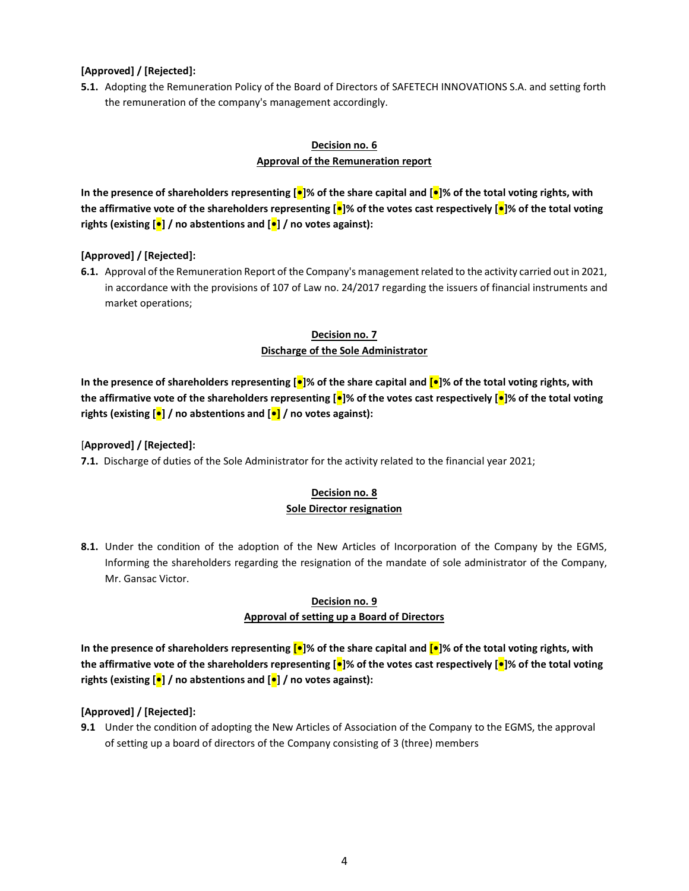#### **[Approved] / [Rejected]:**

**5.1.** Adopting the Remuneration Policy of the Board of Directors of SAFETECH INNOVATIONS S.A. and setting forth the remuneration of the company's management accordingly.

### **Decision no. 6 Approval of the Remuneration report**

**In the presence of shareholders representing [•]% of the share capital and [•]% of the total voting rights, with the affirmative vote of the shareholders representing [•]% of the votes cast respectively [•]% of the total voting rights (existing [•] / no abstentions and [•] / no votes against):**

#### **[Approved] / [Rejected]:**

**6.1.** Approval of the Remuneration Report of the Company's management related to the activity carried out in 2021, in accordance with the provisions of 107 of Law no. 24/2017 regarding the issuers of financial instruments and market operations;

### **Decision no. 7**

#### **Discharge of the Sole Administrator**

**In the presence of shareholders representing [•]% of the share capital and [•]% of the total voting rights, with the affirmative vote of the shareholders representing [•]% of the votes cast respectively [•]% of the total voting rights (existing [•] / no abstentions and [•] / no votes against):**

[**Approved] / [Rejected]:**

**7.1.** Discharge of duties of the Sole Administrator for the activity related to the financial year 2021;

# **Decision no. 8**

- **Sole Director resignation**
- **8.1.** Under the condition of the adoption of the New Articles of Incorporation of the Company by the EGMS, Informing the shareholders regarding the resignation of the mandate of sole administrator of the Company, Mr. Gansac Victor.

### **Decision no. 9 Approval of setting up a Board of Directors**

**In the presence of shareholders representing [•]% of the share capital and [•]% of the total voting rights, with the affirmative vote of the shareholders representing [•]% of the votes cast respectively [•]% of the total voting rights (existing [•] / no abstentions and [•] / no votes against):**

### **[Approved] / [Rejected]:**

**9.1** Under the condition of adopting the New Articles of Association of the Company to the EGMS, the approval of setting up a board of directors of the Company consisting of 3 (three) members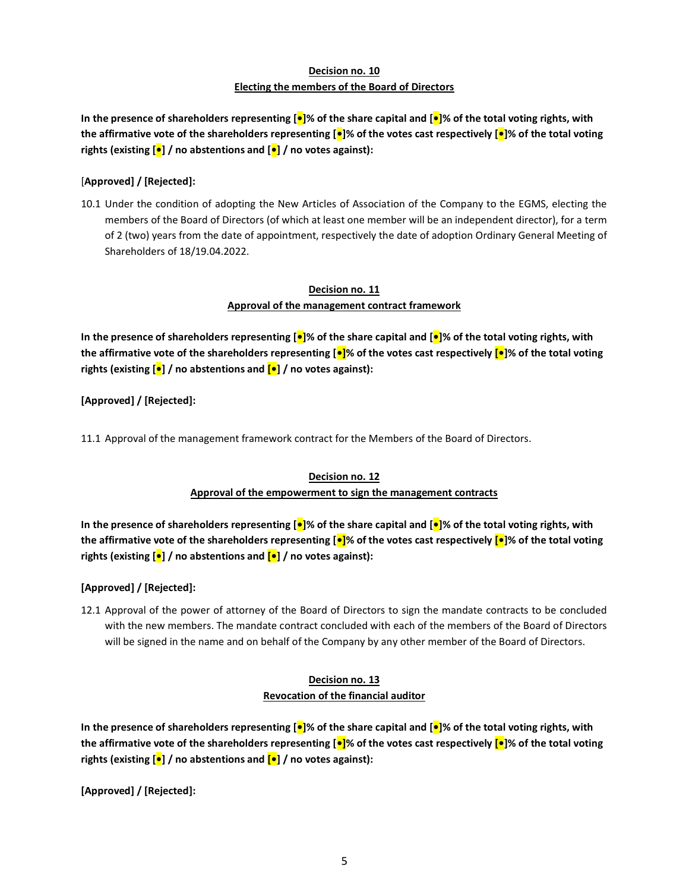## **Decision no. 10 Electing the members of the Board of Directors**

**In the presence of shareholders representing [•]% of the share capital and [•]% of the total voting rights, with the affirmative vote of the shareholders representing [•]% of the votes cast respectively [•]% of the total voting rights (existing [•] / no abstentions and [•] / no votes against):**

#### [**Approved] / [Rejected]:**

10.1 Under the condition of adopting the New Articles of Association of the Company to the EGMS, electing the members of the Board of Directors (of which at least one member will be an independent director), for a term of 2 (two) years from the date of appointment, respectively the date of adoption Ordinary General Meeting of Shareholders of 18/19.04.2022.

#### **Decision no. 11 Approval of the management contract framework**

**In the presence of shareholders representing [•]% of the share capital and [•]% of the total voting rights, with the affirmative vote of the shareholders representing [•]% of the votes cast respectively [•]% of the total voting rights (existing [•] / no abstentions and [•] / no votes against):**

#### **[Approved] / [Rejected]:**

11.1 Approval of the management framework contract for the Members of the Board of Directors.

#### **Decision no. 12**

#### **Approval of the empowerment to sign the management contracts**

**In the presence of shareholders representing [•]% of the share capital and [•]% of the total voting rights, with the affirmative vote of the shareholders representing [•]% of the votes cast respectively [•]% of the total voting rights (existing [•] / no abstentions and [•] / no votes against):**

#### **[Approved] / [Rejected]:**

12.1 Approval of the power of attorney of the Board of Directors to sign the mandate contracts to be concluded with the new members. The mandate contract concluded with each of the members of the Board of Directors will be signed in the name and on behalf of the Company by any other member of the Board of Directors.

#### **Decision no. 13 Revocation of the financial auditor**

**In the presence of shareholders representing [•]% of the share capital and [•]% of the total voting rights, with the affirmative vote of the shareholders representing [•]% of the votes cast respectively [•]% of the total voting rights (existing [•] / no abstentions and [•] / no votes against):**

**[Approved] / [Rejected]:**